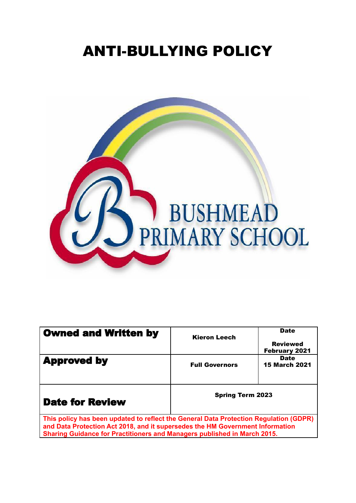# ANTI-BULLYING POLICY



| <b>Owned and Written by</b>                                                                                                                                                                                                                        | <b>Kieron Leech</b>     | <b>Date</b><br><b>Reviewed</b><br><b>February 2021</b> |
|----------------------------------------------------------------------------------------------------------------------------------------------------------------------------------------------------------------------------------------------------|-------------------------|--------------------------------------------------------|
| <b>Approved by</b>                                                                                                                                                                                                                                 | <b>Full Governors</b>   | <b>Date</b><br><b>15 March 2021</b>                    |
| <b>Date for Review</b>                                                                                                                                                                                                                             | <b>Spring Term 2023</b> |                                                        |
| This policy has been updated to reflect the General Data Protection Regulation (GDPR)<br>and Data Protection Act 2018, and it supersedes the HM Government Information<br>Sharing Guidance for Practitioners and Managers published in March 2015. |                         |                                                        |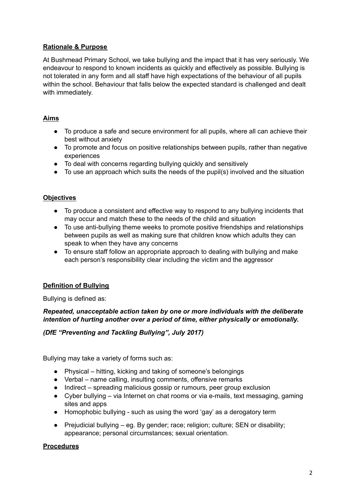# **Rationale & Purpose**

At Bushmead Primary School, we take bullying and the impact that it has very seriously. We endeavour to respond to known incidents as quickly and effectively as possible. Bullying is not tolerated in any form and all staff have high expectations of the behaviour of all pupils within the school. Behaviour that falls below the expected standard is challenged and dealt with immediately.

# **Aims**

- To produce a safe and secure environment for all pupils, where all can achieve their best without anxiety
- To promote and focus on positive relationships between pupils, rather than negative experiences
- To deal with concerns regarding bullying quickly and sensitively
- To use an approach which suits the needs of the pupil(s) involved and the situation

# **Objectives**

- **●** To produce a consistent and effective way to respond to any bullying incidents that may occur and match these to the needs of the child and situation
- **●** To use anti-bullying theme weeks to promote positive friendships and relationships between pupils as well as making sure that children know which adults they can speak to when they have any concerns
- **●** To ensure staff follow an appropriate approach to dealing with bullying and make each person's responsibility clear including the victim and the aggressor

# **Definition of Bullying**

Bullying is defined as:

### *Repeated, unacceptable action taken by one or more individuals with the deliberate intention of hurting another over a period of time, either physically or emotionally.*

### *(DfE "Preventing and Tackling Bullying", July 2017)*

Bullying may take a variety of forms such as:

- Physical hitting, kicking and taking of someone's belongings
- Verbal name calling, insulting comments, offensive remarks
- Indirect spreading malicious gossip or rumours, peer group exclusion
- Cyber bullying via Internet on chat rooms or via e-mails, text messaging, gaming sites and apps
- Homophobic bullying such as using the word 'gay' as a derogatory term
- Prejudicial bullying eg. By gender; race; religion; culture; SEN or disability; appearance; personal circumstances; sexual orientation.

### **Procedures**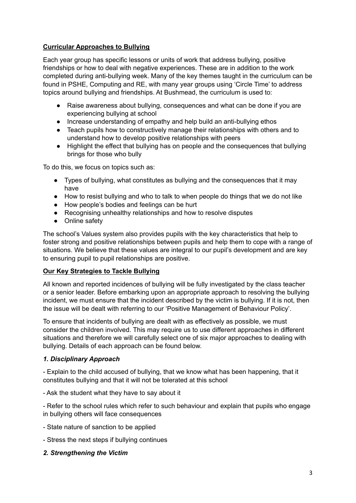# **Curricular Approaches to Bullying**

Each year group has specific lessons or units of work that address bullying, positive friendships or how to deal with negative experiences. These are in addition to the work completed during anti-bullying week. Many of the key themes taught in the curriculum can be found in PSHE, Computing and RE, with many year groups using 'Circle Time' to address topics around bullying and friendships. At Bushmead, the curriculum is used to:

- Raise awareness about bullying, consequences and what can be done if you are experiencing bullying at school
- Increase understanding of empathy and help build an anti-bullying ethos
- Teach pupils how to constructively manage their relationships with others and to understand how to develop positive relationships with peers
- Highlight the effect that bullying has on people and the consequences that bullying brings for those who bully

To do this, we focus on topics such as:

- Types of bullying, what constitutes as bullying and the consequences that it may have
- How to resist bullying and who to talk to when people do things that we do not like
- How people's bodies and feelings can be hurt
- Recognising unhealthy relationships and how to resolve disputes
- Online safety

The school's Values system also provides pupils with the key characteristics that help to foster strong and positive relationships between pupils and help them to cope with a range of situations. We believe that these values are integral to our pupil's development and are key to ensuring pupil to pupil relationships are positive.

# **Our Key Strategies to Tackle Bullying**

All known and reported incidences of bullying will be fully investigated by the class teacher or a senior leader. Before embarking upon an appropriate approach to resolving the bullying incident, we must ensure that the incident described by the victim is bullying. If it is not, then the issue will be dealt with referring to our 'Positive Management of Behaviour Policy'.

To ensure that incidents of bullying are dealt with as effectively as possible, we must consider the children involved. This may require us to use different approaches in different situations and therefore we will carefully select one of six major approaches to dealing with bullying. Details of each approach can be found below.

### *1. Disciplinary Approach*

- Explain to the child accused of bullying, that we know what has been happening, that it constitutes bullying and that it will not be tolerated at this school

- Ask the student what they have to say about it

- Refer to the school rules which refer to such behaviour and explain that pupils who engage in bullying others will face consequences

- State nature of sanction to be applied
- Stress the next steps if bullying continues

### *2. Strengthening the Victim*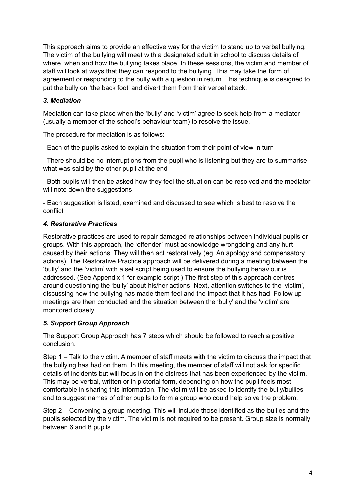This approach aims to provide an effective way for the victim to stand up to verbal bullying. The victim of the bullying will meet with a designated adult in school to discuss details of where, when and how the bullying takes place. In these sessions, the victim and member of staff will look at ways that they can respond to the bullying. This may take the form of agreement or responding to the bully with a question in return. This technique is designed to put the bully on 'the back foot' and divert them from their verbal attack.

# *3. Mediation*

Mediation can take place when the 'bully' and 'victim' agree to seek help from a mediator (usually a member of the school's behaviour team) to resolve the issue.

The procedure for mediation is as follows:

- Each of the pupils asked to explain the situation from their point of view in turn

- There should be no interruptions from the pupil who is listening but they are to summarise what was said by the other pupil at the end

- Both pupils will then be asked how they feel the situation can be resolved and the mediator will note down the suggestions

- Each suggestion is listed, examined and discussed to see which is best to resolve the conflict

### *4. Restorative Practices*

Restorative practices are used to repair damaged relationships between individual pupils or groups. With this approach, the 'offender' must acknowledge wrongdoing and any hurt caused by their actions. They will then act restoratively (eg. An apology and compensatory actions). The Restorative Practice approach will be delivered during a meeting between the 'bully' and the 'victim' with a set script being used to ensure the bullying behaviour is addressed. (See Appendix 1 for example script.) The first step of this approach centres around questioning the 'bully' about his/her actions. Next, attention switches to the 'victim', discussing how the bullying has made them feel and the impact that it has had. Follow up meetings are then conducted and the situation between the 'bully' and the 'victim' are monitored closely.

### *5. Support Group Approach*

The Support Group Approach has 7 steps which should be followed to reach a positive conclusion.

Step 1 – Talk to the victim. A member of staff meets with the victim to discuss the impact that the bullying has had on them. In this meeting, the member of staff will not ask for specific details of incidents but will focus in on the distress that has been experienced by the victim. This may be verbal, written or in pictorial form, depending on how the pupil feels most comfortable in sharing this information. The victim will be asked to identify the bully/bullies and to suggest names of other pupils to form a group who could help solve the problem.

Step 2 – Convening a group meeting. This will include those identified as the bullies and the pupils selected by the victim. The victim is not required to be present. Group size is normally between 6 and 8 pupils.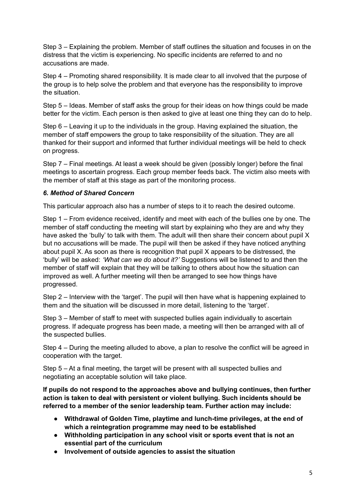Step 3 – Explaining the problem. Member of staff outlines the situation and focuses in on the distress that the victim is experiencing. No specific incidents are referred to and no accusations are made.

Step 4 – Promoting shared responsibility. It is made clear to all involved that the purpose of the group is to help solve the problem and that everyone has the responsibility to improve the situation.

Step 5 – Ideas. Member of staff asks the group for their ideas on how things could be made better for the victim. Each person is then asked to give at least one thing they can do to help.

Step 6 – Leaving it up to the individuals in the group. Having explained the situation, the member of staff empowers the group to take responsibility of the situation. They are all thanked for their support and informed that further individual meetings will be held to check on progress.

Step 7 – Final meetings. At least a week should be given (possibly longer) before the final meetings to ascertain progress. Each group member feeds back. The victim also meets with the member of staff at this stage as part of the monitoring process.

#### *6. Method of Shared Concern*

This particular approach also has a number of steps to it to reach the desired outcome.

Step 1 – From evidence received, identify and meet with each of the bullies one by one. The member of staff conducting the meeting will start by explaining who they are and why they have asked the 'bully' to talk with them. The adult will then share their concern about pupil X but no accusations will be made. The pupil will then be asked if they have noticed anything about pupil X. As soon as there is recognition that pupil X appears to be distressed, the 'bully' will be asked: *'What can we do about it?'* Suggestions will be listened to and then the member of staff will explain that they will be talking to others about how the situation can improved as well. A further meeting will then be arranged to see how things have progressed.

Step 2 – Interview with the 'target'. The pupil will then have what is happening explained to them and the situation will be discussed in more detail, listening to the 'target'.

Step 3 – Member of staff to meet with suspected bullies again individually to ascertain progress. If adequate progress has been made, a meeting will then be arranged with all of the suspected bullies.

Step 4 – During the meeting alluded to above, a plan to resolve the conflict will be agreed in cooperation with the target.

Step 5 – At a final meeting, the target will be present with all suspected bullies and negotiating an acceptable solution will take place.

**If pupils do not respond to the approaches above and bullying continues, then further action is taken to deal with persistent or violent bullying. Such incidents should be referred to a member of the senior leadership team. Further action may include:**

- **● Withdrawal of Golden Time, playtime and lunch-time privileges, at the end of which a reintegration programme may need to be established**
- **● Withholding participation in any school visit or sports event that is not an essential part of the curriculum**
- **● Involvement of outside agencies to assist the situation**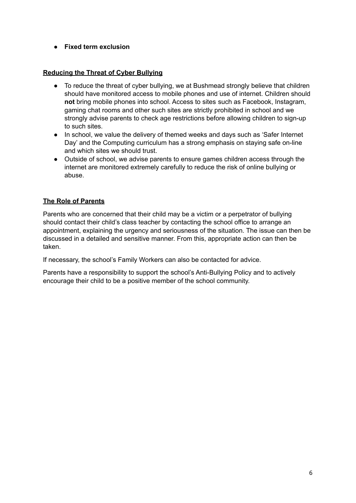**● Fixed term exclusion**

# **Reducing the Threat of Cyber Bullying**

- To reduce the threat of cyber bullying, we at Bushmead strongly believe that children should have monitored access to mobile phones and use of internet. Children should **not** bring mobile phones into school. Access to sites such as Facebook, Instagram, gaming chat rooms and other such sites are strictly prohibited in school and we strongly advise parents to check age restrictions before allowing children to sign-up to such sites.
- In school, we value the delivery of themed weeks and days such as 'Safer Internet Day' and the Computing curriculum has a strong emphasis on staying safe on-line and which sites we should trust.
- Outside of school, we advise parents to ensure games children access through the internet are monitored extremely carefully to reduce the risk of online bullying or abuse.

# **The Role of Parents**

Parents who are concerned that their child may be a victim or a perpetrator of bullying should contact their child's class teacher by contacting the school office to arrange an appointment, explaining the urgency and seriousness of the situation. The issue can then be discussed in a detailed and sensitive manner. From this, appropriate action can then be taken.

If necessary, the school's Family Workers can also be contacted for advice.

Parents have a responsibility to support the school's Anti-Bullying Policy and to actively encourage their child to be a positive member of the school community.